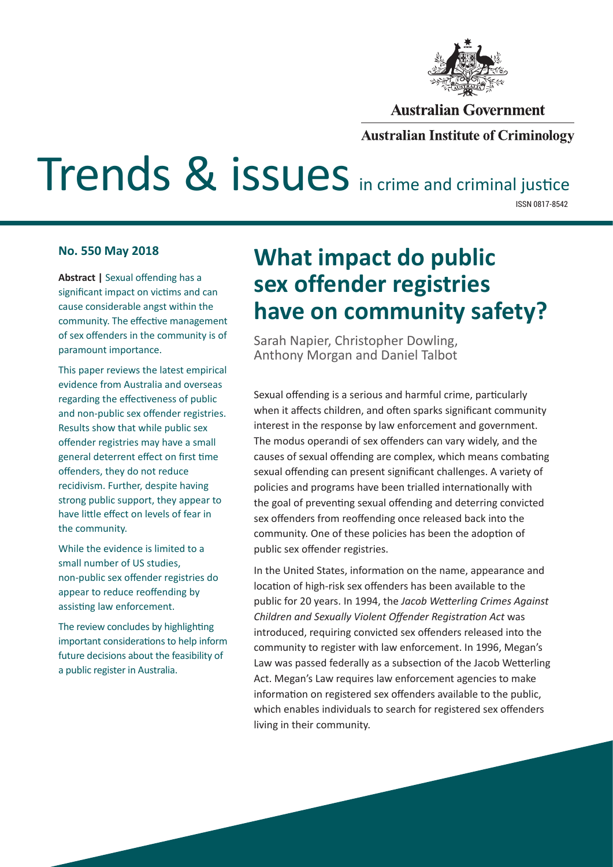

#### **Australian Government**

#### **Australian Institute of Criminology**

# Trends & issues in crime and criminal justice

ISSN 0817-8542

#### **No. 550 May 2018**

**Abstract |** Sexual offending has a significant impact on victims and can cause considerable angst within the community. The effective management of sex offenders in the community is of paramount importance.

This paper reviews the latest empirical evidence from Australia and overseas regarding the effectiveness of public and non-public sex offender registries. Results show that while public sex offender registries may have a small general deterrent effect on first time offenders, they do not reduce recidivism. Further, despite having strong public support, they appear to have little effect on levels of fear in the community.

While the evidence is limited to a small number of US studies, non-public sex offender registries do appear to reduce reoffending by assisting law enforcement.

The review concludes by highlighting important considerations to help inform future decisions about the feasibility of a public register in Australia.

## **What impact do public sex offender registries have on community safety?**

Sarah Napier, Christopher Dowling, Anthony Morgan and Daniel Talbot

Sexual offending is a serious and harmful crime, particularly when it affects children, and often sparks significant community interest in the response by law enforcement and government. The modus operandi of sex offenders can vary widely, and the causes of sexual offending are complex, which means combating sexual offending can present significant challenges. A variety of policies and programs have been trialled internationally with the goal of preventing sexual offending and deterring convicted sex offenders from reoffending once released back into the community. One of these policies has been the adoption of public sex offender registries.

In the United States, information on the name, appearance and location of high-risk sex offenders has been available to the public for 20 years. In 1994, the *Jacob Wetterling Crimes Against Children and Sexually Violent Offender Registration Act* was introduced, requiring convicted sex offenders released into the community to register with law enforcement. In 1996, Megan's Law was passed federally as a subsection of the Jacob Wetterling Act. Megan's Law requires law enforcement agencies to make information on registered sex offenders available to the public, which enables individuals to search for registered sex offenders living in their community.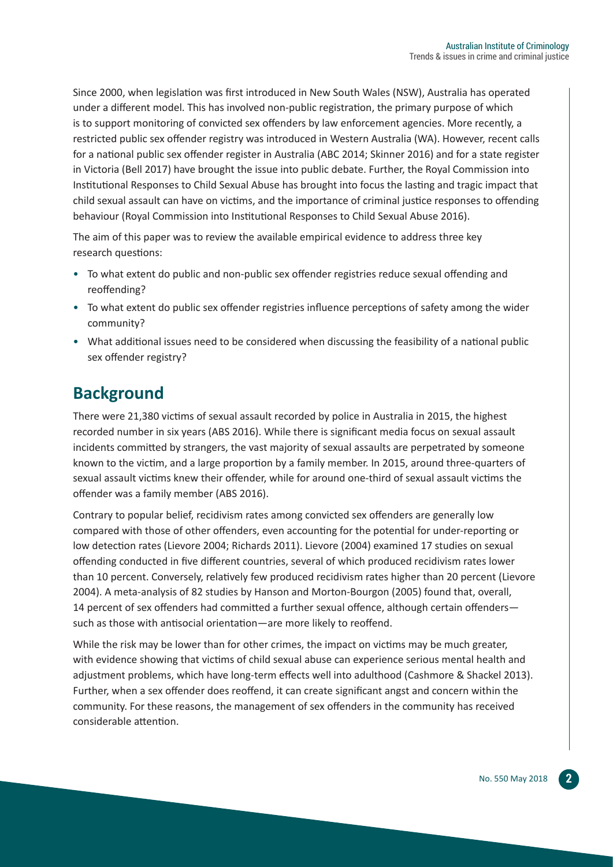Since 2000, when legislation was first introduced in New South Wales (NSW), Australia has operated under a different model. This has involved non-public registration, the primary purpose of which is to support monitoring of convicted sex offenders by law enforcement agencies. More recently, a restricted public sex offender registry was introduced in Western Australia (WA). However, recent calls for a national public sex offender register in Australia (ABC 2014; Skinner 2016) and for a state register in Victoria (Bell 2017) have brought the issue into public debate. Further, the Royal Commission into Institutional Responses to Child Sexual Abuse has brought into focus the lasting and tragic impact that child sexual assault can have on victims, and the importance of criminal justice responses to offending behaviour (Royal Commission into Institutional Responses to Child Sexual Abuse 2016).

The aim of this paper was to review the available empirical evidence to address three key research questions:

- To what extent do public and non-public sex offender registries reduce sexual offending and reoffending?
- To what extent do public sex offender registries influence perceptions of safety among the wider community?
- What additional issues need to be considered when discussing the feasibility of a national public sex offender registry?

## **Background**

There were 21,380 victims of sexual assault recorded by police in Australia in 2015, the highest recorded number in six years (ABS 2016). While there is significant media focus on sexual assault incidents committed by strangers, the vast majority of sexual assaults are perpetrated by someone known to the victim, and a large proportion by a family member. In 2015, around three-quarters of sexual assault victims knew their offender, while for around one-third of sexual assault victims the offender was a family member (ABS 2016).

Contrary to popular belief, recidivism rates among convicted sex offenders are generally low compared with those of other offenders, even accounting for the potential for under-reporting or low detection rates (Lievore 2004; Richards 2011). Lievore (2004) examined 17 studies on sexual offending conducted in five different countries, several of which produced recidivism rates lower than 10 percent. Conversely, relatively few produced recidivism rates higher than 20 percent (Lievore 2004). A meta-analysis of 82 studies by Hanson and Morton-Bourgon (2005) found that, overall, 14 percent of sex offenders had committed a further sexual offence, although certain offenders such as those with antisocial orientation—are more likely to reoffend.

While the risk may be lower than for other crimes, the impact on victims may be much greater, with evidence showing that victims of child sexual abuse can experience serious mental health and adjustment problems, which have long-term effects well into adulthood (Cashmore & Shackel 2013). Further, when a sex offender does reoffend, it can create significant angst and concern within the community. For these reasons, the management of sex offenders in the community has received considerable attention.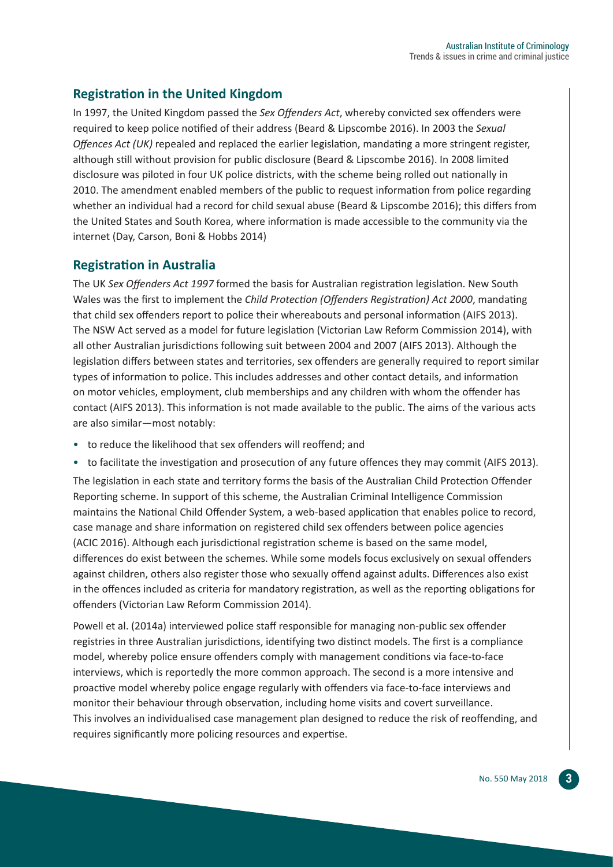#### **Registration in the United Kingdom**

In 1997, the United Kingdom passed the *Sex Offenders Act*, whereby convicted sex offenders were required to keep police notified of their address (Beard & Lipscombe 2016). In 2003 the *Sexual Offences Act (UK)* repealed and replaced the earlier legislation, mandating a more stringent register, although still without provision for public disclosure (Beard & Lipscombe 2016). In 2008 limited disclosure was piloted in four UK police districts, with the scheme being rolled out nationally in 2010. The amendment enabled members of the public to request information from police regarding whether an individual had a record for child sexual abuse (Beard & Lipscombe 2016); this differs from the United States and South Korea, where information is made accessible to the community via the internet (Day, Carson, Boni & Hobbs 2014)

#### **Registration in Australia**

The UK *Sex Offenders Act 1997* formed the basis for Australian registration legislation. New South Wales was the first to implement the *Child Protection (Offenders Registration) Act 2000*, mandating that child sex offenders report to police their whereabouts and personal information (AIFS 2013). The NSW Act served as a model for future legislation (Victorian Law Reform Commission 2014), with all other Australian jurisdictions following suit between 2004 and 2007 (AIFS 2013). Although the legislation differs between states and territories, sex offenders are generally required to report similar types of information to police. This includes addresses and other contact details, and information on motor vehicles, employment, club memberships and any children with whom the offender has contact (AIFS 2013). This information is not made available to the public. The aims of the various acts are also similar—most notably:

- to reduce the likelihood that sex offenders will reoffend; and
- to facilitate the investigation and prosecution of any future offences they may commit (AIFS 2013).

The legislation in each state and territory forms the basis of the Australian Child Protection Offender Reporting scheme. In support of this scheme, the Australian Criminal Intelligence Commission maintains the National Child Offender System, a web-based application that enables police to record, case manage and share information on registered child sex offenders between police agencies (ACIC 2016). Although each jurisdictional registration scheme is based on the same model, differences do exist between the schemes. While some models focus exclusively on sexual offenders against children, others also register those who sexually offend against adults. Differences also exist in the offences included as criteria for mandatory registration, as well as the reporting obligations for offenders (Victorian Law Reform Commission 2014).

Powell et al. (2014a) interviewed police staff responsible for managing non-public sex offender registries in three Australian jurisdictions, identifying two distinct models. The first is a compliance model, whereby police ensure offenders comply with management conditions via face-to-face interviews, which is reportedly the more common approach. The second is a more intensive and proactive model whereby police engage regularly with offenders via face-to-face interviews and monitor their behaviour through observation, including home visits and covert surveillance. This involves an individualised case management plan designed to reduce the risk of reoffending, and requires significantly more policing resources and expertise.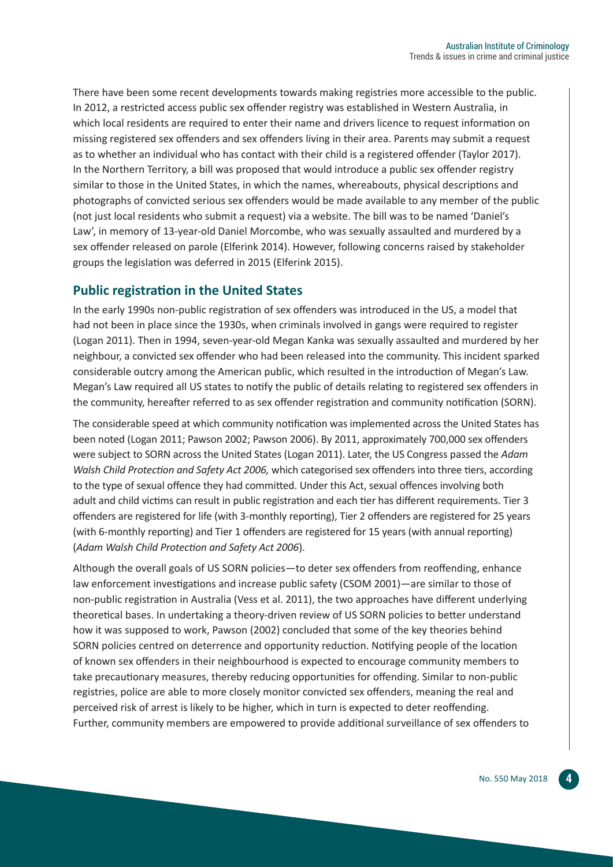There have been some recent developments towards making registries more accessible to the public. In 2012, a restricted access public sex offender registry was established in Western Australia, in which local residents are required to enter their name and drivers licence to request information on missing registered sex offenders and sex offenders living in their area. Parents may submit a request as to whether an individual who has contact with their child is a registered offender (Taylor 2017). In the Northern Territory, a bill was proposed that would introduce a public sex offender registry similar to those in the United States, in which the names, whereabouts, physical descriptions and photographs of convicted serious sex offenders would be made available to any member of the public (not just local residents who submit a request) via a website. The bill was to be named 'Daniel's Law', in memory of 13-year-old Daniel Morcombe, who was sexually assaulted and murdered by a sex offender released on parole (Elferink 2014). However, following concerns raised by stakeholder groups the legislation was deferred in 2015 (Elferink 2015).

#### **Public registration in the United States**

In the early 1990s non-public registration of sex offenders was introduced in the US, a model that had not been in place since the 1930s, when criminals involved in gangs were required to register (Logan 2011). Then in 1994, seven-year-old Megan Kanka was sexually assaulted and murdered by her neighbour, a convicted sex offender who had been released into the community. This incident sparked considerable outcry among the American public, which resulted in the introduction of Megan's Law. Megan's Law required all US states to notify the public of details relating to registered sex offenders in the community, hereafter referred to as sex offender registration and community notification (SORN).

The considerable speed at which community notification was implemented across the United States has been noted (Logan 2011; Pawson 2002; Pawson 2006). By 2011, approximately 700,000 sex offenders were subject to SORN across the United States (Logan 2011). Later, the US Congress passed the *Adam Walsh Child Protection and Safety Act 2006,* which categorised sex offenders into three tiers, according to the type of sexual offence they had committed. Under this Act, sexual offences involving both adult and child victims can result in public registration and each tier has different requirements. Tier 3 offenders are registered for life (with 3-monthly reporting), Tier 2 offenders are registered for 25 years (with 6-monthly reporting) and Tier 1 offenders are registered for 15 years (with annual reporting) (*Adam Walsh Child Protection and Safety Act 2006*).

Although the overall goals of US SORN policies—to deter sex offenders from reoffending, enhance law enforcement investigations and increase public safety (CSOM 2001)—are similar to those of non-public registration in Australia (Vess et al. 2011), the two approaches have different underlying theoretical bases. In undertaking a theory-driven review of US SORN policies to better understand how it was supposed to work, Pawson (2002) concluded that some of the key theories behind SORN policies centred on deterrence and opportunity reduction. Notifying people of the location of known sex offenders in their neighbourhood is expected to encourage community members to take precautionary measures, thereby reducing opportunities for offending. Similar to non-public registries, police are able to more closely monitor convicted sex offenders, meaning the real and perceived risk of arrest is likely to be higher, which in turn is expected to deter reoffending. Further, community members are empowered to provide additional surveillance of sex offenders to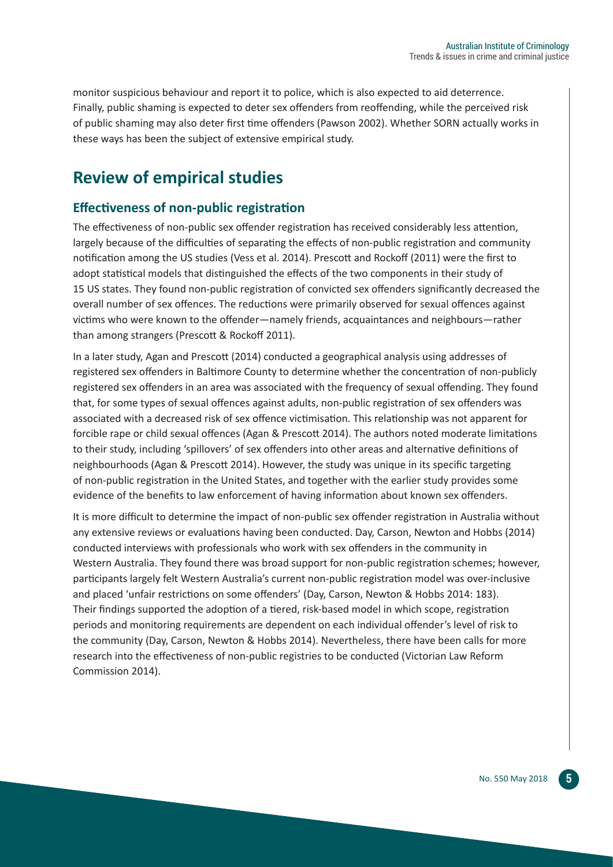monitor suspicious behaviour and report it to police, which is also expected to aid deterrence. Finally, public shaming is expected to deter sex offenders from reoffending, while the perceived risk of public shaming may also deter first time offenders (Pawson 2002). Whether SORN actually works in these ways has been the subject of extensive empirical study.

## **Review of empirical studies**

#### **Effectiveness of non-public registration**

The effectiveness of non-public sex offender registration has received considerably less attention, largely because of the difficulties of separating the effects of non-public registration and community notification among the US studies (Vess et al. 2014). Prescott and Rockoff (2011) were the first to adopt statistical models that distinguished the effects of the two components in their study of 15 US states. They found non-public registration of convicted sex offenders significantly decreased the overall number of sex offences. The reductions were primarily observed for sexual offences against victims who were known to the offender—namely friends, acquaintances and neighbours—rather than among strangers (Prescott & Rockoff 2011).

In a later study, Agan and Prescott (2014) conducted a geographical analysis using addresses of registered sex offenders in Baltimore County to determine whether the concentration of non-publicly registered sex offenders in an area was associated with the frequency of sexual offending. They found that, for some types of sexual offences against adults, non-public registration of sex offenders was associated with a decreased risk of sex offence victimisation. This relationship was not apparent for forcible rape or child sexual offences (Agan & Prescott 2014). The authors noted moderate limitations to their study, including 'spillovers' of sex offenders into other areas and alternative definitions of neighbourhoods (Agan & Prescott 2014). However, the study was unique in its specific targeting of non-public registration in the United States, and together with the earlier study provides some evidence of the benefits to law enforcement of having information about known sex offenders.

It is more difficult to determine the impact of non-public sex offender registration in Australia without any extensive reviews or evaluations having been conducted. Day, Carson, Newton and Hobbs (2014) conducted interviews with professionals who work with sex offenders in the community in Western Australia. They found there was broad support for non-public registration schemes; however, participants largely felt Western Australia's current non-public registration model was over-inclusive and placed 'unfair restrictions on some offenders' (Day, Carson, Newton & Hobbs 2014: 183). Their findings supported the adoption of a tiered, risk-based model in which scope, registration periods and monitoring requirements are dependent on each individual offender's level of risk to the community (Day, Carson, Newton & Hobbs 2014). Nevertheless, there have been calls for more research into the effectiveness of non-public registries to be conducted (Victorian Law Reform Commission 2014).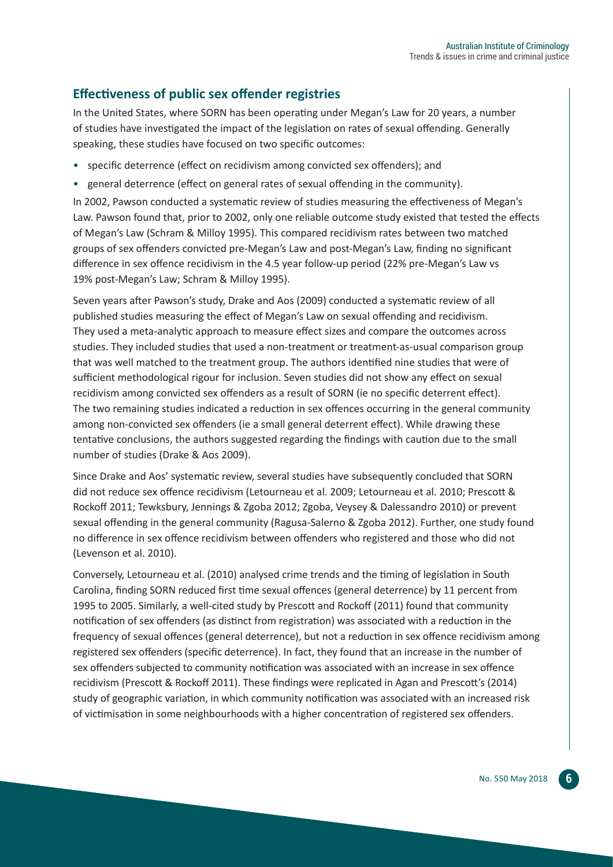#### **Effectiveness of public sex offender registries**

In the United States, where SORN has been operating under Megan's Law for 20 years, a number of studies have investigated the impact of the legislation on rates of sexual offending. Generally speaking, these studies have focused on two specific outcomes:

- specific deterrence (effect on recidivism among convicted sex offenders); and
- general deterrence (effect on general rates of sexual offending in the community).

In 2002, Pawson conducted a systematic review of studies measuring the effectiveness of Megan's Law. Pawson found that, prior to 2002, only one reliable outcome study existed that tested the effects of Megan's Law (Schram & Milloy 1995). This compared recidivism rates between two matched groups of sex offenders convicted pre-Megan's Law and post-Megan's Law, finding no significant difference in sex offence recidivism in the 4.5 year follow-up period (22% pre-Megan's Law vs 19% post-Megan's Law; Schram & Milloy 1995).

Seven years after Pawson's study, Drake and Aos (2009) conducted a systematic review of all published studies measuring the effect of Megan's Law on sexual offending and recidivism. They used a meta-analytic approach to measure effect sizes and compare the outcomes across studies. They included studies that used a non-treatment or treatment-as-usual comparison group that was well matched to the treatment group. The authors identified nine studies that were of sufficient methodological rigour for inclusion. Seven studies did not show any effect on sexual recidivism among convicted sex offenders as a result of SORN (ie no specific deterrent effect). The two remaining studies indicated a reduction in sex offences occurring in the general community among non-convicted sex offenders (ie a small general deterrent effect). While drawing these tentative conclusions, the authors suggested regarding the findings with caution due to the small number of studies (Drake & Aos 2009).

Since Drake and Aos' systematic review, several studies have subsequently concluded that SORN did not reduce sex offence recidivism (Letourneau et al. 2009; Letourneau et al. 2010; Prescott & Rockoff 2011; Tewksbury, Jennings & Zgoba 2012; Zgoba, Veysey & Dalessandro 2010) or prevent sexual offending in the general community (Ragusa-Salerno & Zgoba 2012). Further, one study found no difference in sex offence recidivism between offenders who registered and those who did not (Levenson et al. 2010).

Conversely, Letourneau et al. (2010) analysed crime trends and the timing of legislation in South Carolina, finding SORN reduced first time sexual offences (general deterrence) by 11 percent from 1995 to 2005. Similarly, a well-cited study by Prescott and Rockoff (2011) found that community notification of sex offenders (as distinct from registration) was associated with a reduction in the frequency of sexual offences (general deterrence), but not a reduction in sex offence recidivism among registered sex offenders (specific deterrence). In fact, they found that an increase in the number of sex offenders subjected to community notification was associated with an increase in sex offence recidivism (Prescott & Rockoff 2011). These findings were replicated in Agan and Prescott's (2014) study of geographic variation, in which community notification was associated with an increased risk of victimisation in some neighbourhoods with a higher concentration of registered sex offenders.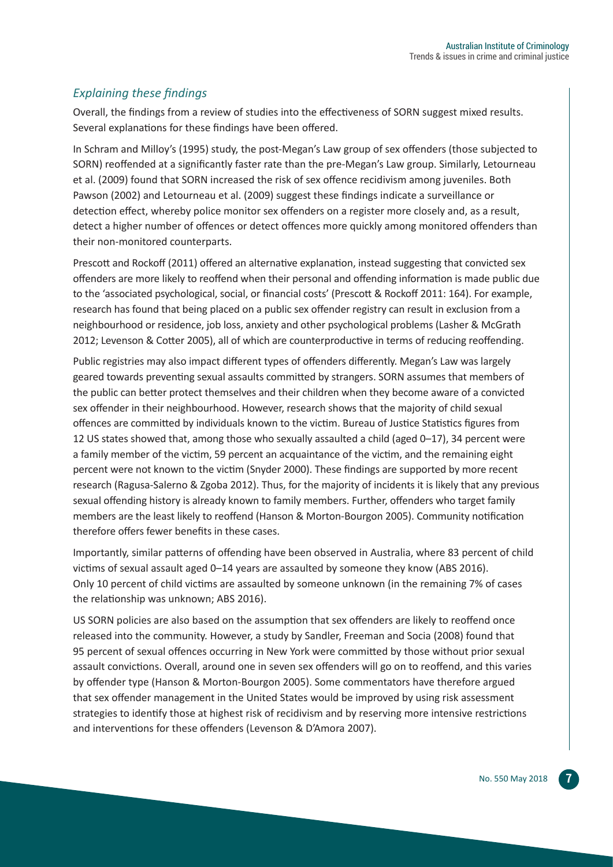#### *Explaining these findings*

Overall, the findings from a review of studies into the effectiveness of SORN suggest mixed results. Several explanations for these findings have been offered.

In Schram and Milloy's (1995) study, the post-Megan's Law group of sex offenders (those subjected to SORN) reoffended at a significantly faster rate than the pre-Megan's Law group. Similarly, Letourneau et al. (2009) found that SORN increased the risk of sex offence recidivism among juveniles. Both Pawson (2002) and Letourneau et al. (2009) suggest these findings indicate a surveillance or detection effect, whereby police monitor sex offenders on a register more closely and, as a result, detect a higher number of offences or detect offences more quickly among monitored offenders than their non-monitored counterparts.

Prescott and Rockoff (2011) offered an alternative explanation, instead suggesting that convicted sex offenders are more likely to reoffend when their personal and offending information is made public due to the 'associated psychological, social, or financial costs' (Prescott & Rockoff 2011: 164). For example, research has found that being placed on a public sex offender registry can result in exclusion from a neighbourhood or residence, job loss, anxiety and other psychological problems (Lasher & McGrath 2012; Levenson & Cotter 2005), all of which are counterproductive in terms of reducing reoffending.

Public registries may also impact different types of offenders differently. Megan's Law was largely geared towards preventing sexual assaults committed by strangers. SORN assumes that members of the public can better protect themselves and their children when they become aware of a convicted sex offender in their neighbourhood. However, research shows that the majority of child sexual offences are committed by individuals known to the victim. Bureau of Justice Statistics figures from 12 US states showed that, among those who sexually assaulted a child (aged 0–17), 34 percent were a family member of the victim, 59 percent an acquaintance of the victim, and the remaining eight percent were not known to the victim (Snyder 2000). These findings are supported by more recent research (Ragusa-Salerno & Zgoba 2012). Thus, for the majority of incidents it is likely that any previous sexual offending history is already known to family members. Further, offenders who target family members are the least likely to reoffend (Hanson & Morton-Bourgon 2005). Community notification therefore offers fewer benefits in these cases.

Importantly, similar patterns of offending have been observed in Australia, where 83 percent of child victims of sexual assault aged 0–14 years are assaulted by someone they know (ABS 2016). Only 10 percent of child victims are assaulted by someone unknown (in the remaining 7% of cases the relationship was unknown; ABS 2016).

US SORN policies are also based on the assumption that sex offenders are likely to reoffend once released into the community. However, a study by Sandler, Freeman and Socia (2008) found that 95 percent of sexual offences occurring in New York were committed by those without prior sexual assault convictions. Overall, around one in seven sex offenders will go on to reoffend, and this varies by offender type (Hanson & Morton-Bourgon 2005). Some commentators have therefore argued that sex offender management in the United States would be improved by using risk assessment strategies to identify those at highest risk of recidivism and by reserving more intensive restrictions and interventions for these offenders (Levenson & D'Amora 2007).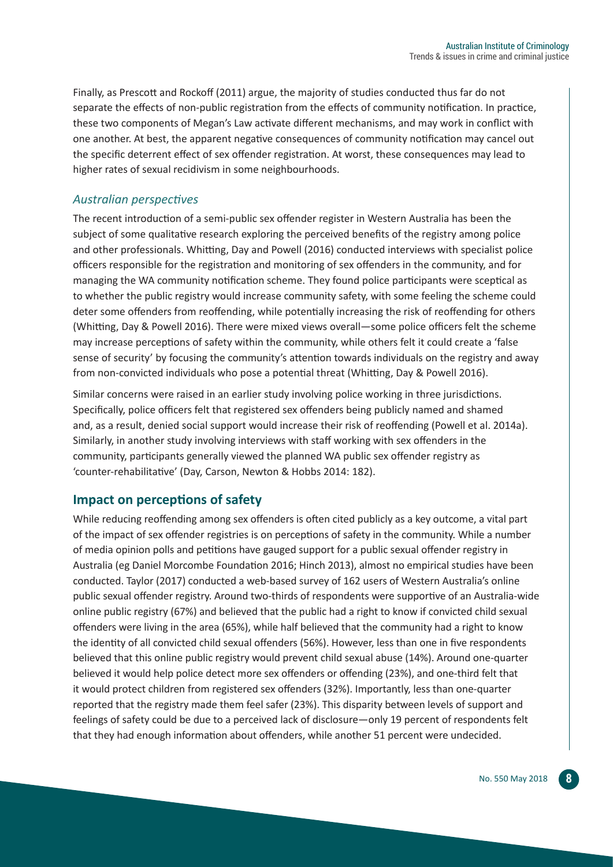Finally, as Prescott and Rockoff (2011) argue, the majority of studies conducted thus far do not separate the effects of non-public registration from the effects of community notification. In practice, these two components of Megan's Law activate different mechanisms, and may work in conflict with one another. At best, the apparent negative consequences of community notification may cancel out the specific deterrent effect of sex offender registration. At worst, these consequences may lead to higher rates of sexual recidivism in some neighbourhoods.

#### *Australian perspectives*

The recent introduction of a semi-public sex offender register in Western Australia has been the subject of some qualitative research exploring the perceived benefits of the registry among police and other professionals. Whitting, Day and Powell (2016) conducted interviews with specialist police officers responsible for the registration and monitoring of sex offenders in the community, and for managing the WA community notification scheme. They found police participants were sceptical as to whether the public registry would increase community safety, with some feeling the scheme could deter some offenders from reoffending, while potentially increasing the risk of reoffending for others (Whitting, Day & Powell 2016). There were mixed views overall—some police officers felt the scheme may increase perceptions of safety within the community, while others felt it could create a 'false sense of security' by focusing the community's attention towards individuals on the registry and away from non-convicted individuals who pose a potential threat (Whitting, Day & Powell 2016).

Similar concerns were raised in an earlier study involving police working in three jurisdictions. Specifically, police officers felt that registered sex offenders being publicly named and shamed and, as a result, denied social support would increase their risk of reoffending (Powell et al. 2014a). Similarly, in another study involving interviews with staff working with sex offenders in the community, participants generally viewed the planned WA public sex offender registry as 'counter-rehabilitative' (Day, Carson, Newton & Hobbs 2014: 182).

#### **Impact on perceptions of safety**

While reducing reoffending among sex offenders is often cited publicly as a key outcome, a vital part of the impact of sex offender registries is on perceptions of safety in the community. While a number of media opinion polls and petitions have gauged support for a public sexual offender registry in Australia (eg Daniel Morcombe Foundation 2016; Hinch 2013), almost no empirical studies have been conducted. Taylor (2017) conducted a web-based survey of 162 users of Western Australia's online public sexual offender registry. Around two-thirds of respondents were supportive of an Australia-wide online public registry (67%) and believed that the public had a right to know if convicted child sexual offenders were living in the area (65%), while half believed that the community had a right to know the identity of all convicted child sexual offenders (56%). However, less than one in five respondents believed that this online public registry would prevent child sexual abuse (14%). Around one-quarter believed it would help police detect more sex offenders or offending (23%), and one-third felt that it would protect children from registered sex offenders (32%). Importantly, less than one-quarter reported that the registry made them feel safer (23%). This disparity between levels of support and feelings of safety could be due to a perceived lack of disclosure—only 19 percent of respondents felt that they had enough information about offenders, while another 51 percent were undecided.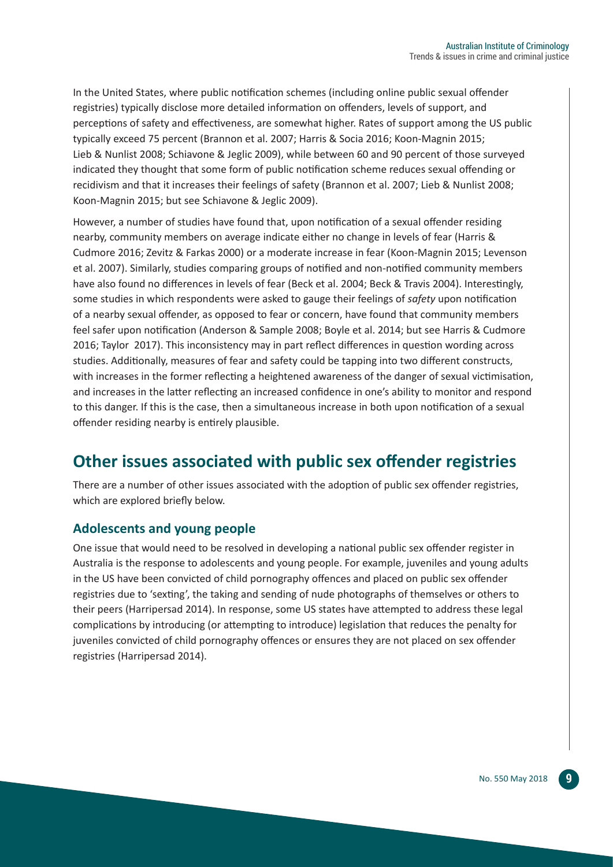In the United States, where public notification schemes (including online public sexual offender registries) typically disclose more detailed information on offenders, levels of support, and perceptions of safety and effectiveness, are somewhat higher. Rates of support among the US public typically exceed 75 percent (Brannon et al. 2007; Harris & Socia 2016; Koon-Magnin 2015; Lieb & Nunlist 2008; Schiavone & Jeglic 2009), while between 60 and 90 percent of those surveyed indicated they thought that some form of public notification scheme reduces sexual offending or recidivism and that it increases their feelings of safety (Brannon et al. 2007; Lieb & Nunlist 2008; Koon-Magnin 2015; but see Schiavone & Jeglic 2009).

However, a number of studies have found that, upon notification of a sexual offender residing nearby, community members on average indicate either no change in levels of fear (Harris & Cudmore 2016; Zevitz & Farkas 2000) or a moderate increase in fear (Koon-Magnin 2015; Levenson et al. 2007). Similarly, studies comparing groups of notified and non-notified community members have also found no differences in levels of fear (Beck et al. 2004; Beck & Travis 2004). Interestingly, some studies in which respondents were asked to gauge their feelings of *safety* upon notification of a nearby sexual offender, as opposed to fear or concern, have found that community members feel safer upon notification (Anderson & Sample 2008; Boyle et al. 2014; but see Harris & Cudmore 2016; Taylor 2017). This inconsistency may in part reflect differences in question wording across studies. Additionally, measures of fear and safety could be tapping into two different constructs, with increases in the former reflecting a heightened awareness of the danger of sexual victimisation, and increases in the latter reflecting an increased confidence in one's ability to monitor and respond to this danger. If this is the case, then a simultaneous increase in both upon notification of a sexual offender residing nearby is entirely plausible.

## **Other issues associated with public sex offender registries**

There are a number of other issues associated with the adoption of public sex offender registries, which are explored briefly below.

#### **Adolescents and young people**

One issue that would need to be resolved in developing a national public sex offender register in Australia is the response to adolescents and young people. For example, juveniles and young adults in the US have been convicted of child pornography offences and placed on public sex offender registries due to 'sexting', the taking and sending of nude photographs of themselves or others to their peers (Harripersad 2014). In response, some US states have attempted to address these legal complications by introducing (or attempting to introduce) legislation that reduces the penalty for juveniles convicted of child pornography offences or ensures they are not placed on sex offender registries (Harripersad 2014).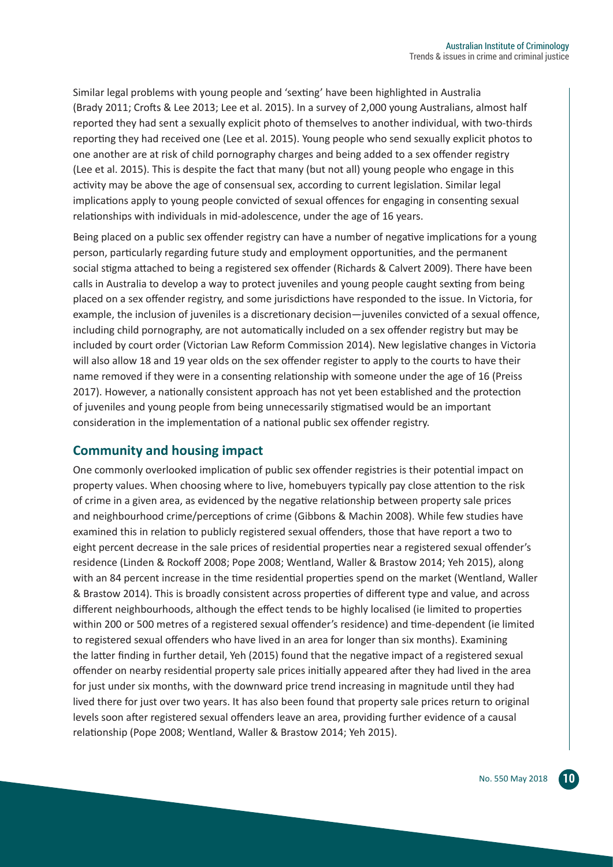Similar legal problems with young people and 'sexting' have been highlighted in Australia (Brady 2011; Crofts & Lee 2013; Lee et al. 2015). In a survey of 2,000 young Australians, almost half reported they had sent a sexually explicit photo of themselves to another individual, with two-thirds reporting they had received one (Lee et al. 2015). Young people who send sexually explicit photos to one another are at risk of child pornography charges and being added to a sex offender registry (Lee et al. 2015). This is despite the fact that many (but not all) young people who engage in this activity may be above the age of consensual sex, according to current legislation. Similar legal implications apply to young people convicted of sexual offences for engaging in consenting sexual relationships with individuals in mid-adolescence, under the age of 16 years.

Being placed on a public sex offender registry can have a number of negative implications for a young person, particularly regarding future study and employment opportunities, and the permanent social stigma attached to being a registered sex offender (Richards & Calvert 2009). There have been calls in Australia to develop a way to protect juveniles and young people caught sexting from being placed on a sex offender registry, and some jurisdictions have responded to the issue. In Victoria, for example, the inclusion of juveniles is a discretionary decision—juveniles convicted of a sexual offence, including child pornography, are not automatically included on a sex offender registry but may be included by court order (Victorian Law Reform Commission 2014). New legislative changes in Victoria will also allow 18 and 19 year olds on the sex offender register to apply to the courts to have their name removed if they were in a consenting relationship with someone under the age of 16 (Preiss 2017). However, a nationally consistent approach has not yet been established and the protection of juveniles and young people from being unnecessarily stigmatised would be an important consideration in the implementation of a national public sex offender registry.

#### **Community and housing impact**

One commonly overlooked implication of public sex offender registries is their potential impact on property values. When choosing where to live, homebuyers typically pay close attention to the risk of crime in a given area, as evidenced by the negative relationship between property sale prices and neighbourhood crime/perceptions of crime (Gibbons & Machin 2008). While few studies have examined this in relation to publicly registered sexual offenders, those that have report a two to eight percent decrease in the sale prices of residential properties near a registered sexual offender's residence (Linden & Rockoff 2008; Pope 2008; Wentland, Waller & Brastow 2014; Yeh 2015), along with an 84 percent increase in the time residential properties spend on the market (Wentland, Waller & Brastow 2014). This is broadly consistent across properties of different type and value, and across different neighbourhoods, although the effect tends to be highly localised (ie limited to properties within 200 or 500 metres of a registered sexual offender's residence) and time-dependent (ie limited to registered sexual offenders who have lived in an area for longer than six months). Examining the latter finding in further detail, Yeh (2015) found that the negative impact of a registered sexual offender on nearby residential property sale prices initially appeared after they had lived in the area for just under six months, with the downward price trend increasing in magnitude until they had lived there for just over two years. It has also been found that property sale prices return to original levels soon after registered sexual offenders leave an area, providing further evidence of a causal relationship (Pope 2008; Wentland, Waller & Brastow 2014; Yeh 2015).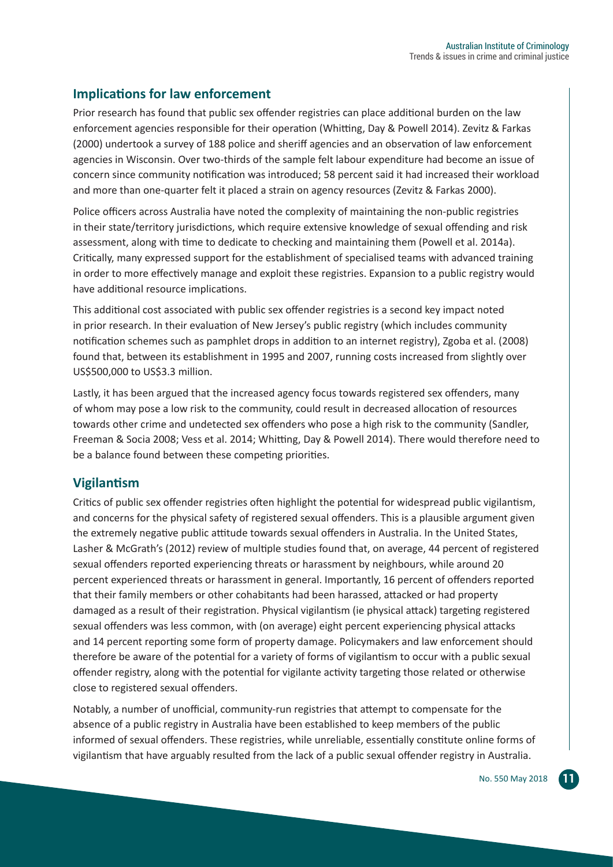#### **Implications for law enforcement**

Prior research has found that public sex offender registries can place additional burden on the law enforcement agencies responsible for their operation (Whitting, Day & Powell 2014). Zevitz & Farkas (2000) undertook a survey of 188 police and sheriff agencies and an observation of law enforcement agencies in Wisconsin. Over two-thirds of the sample felt labour expenditure had become an issue of concern since community notification was introduced; 58 percent said it had increased their workload and more than one-quarter felt it placed a strain on agency resources (Zevitz & Farkas 2000).

Police officers across Australia have noted the complexity of maintaining the non-public registries in their state/territory jurisdictions, which require extensive knowledge of sexual offending and risk assessment, along with time to dedicate to checking and maintaining them (Powell et al. 2014a). Critically, many expressed support for the establishment of specialised teams with advanced training in order to more effectively manage and exploit these registries. Expansion to a public registry would have additional resource implications.

This additional cost associated with public sex offender registries is a second key impact noted in prior research. In their evaluation of New Jersey's public registry (which includes community notification schemes such as pamphlet drops in addition to an internet registry), Zgoba et al. (2008) found that, between its establishment in 1995 and 2007, running costs increased from slightly over US\$500,000 to US\$3.3 million.

Lastly, it has been argued that the increased agency focus towards registered sex offenders, many of whom may pose a low risk to the community, could result in decreased allocation of resources towards other crime and undetected sex offenders who pose a high risk to the community (Sandler, Freeman & Socia 2008; Vess et al. 2014; Whitting, Day & Powell 2014). There would therefore need to be a balance found between these competing priorities.

#### **Vigilantism**

Critics of public sex offender registries often highlight the potential for widespread public vigilantism, and concerns for the physical safety of registered sexual offenders. This is a plausible argument given the extremely negative public attitude towards sexual offenders in Australia. In the United States, Lasher & McGrath's (2012) review of multiple studies found that, on average, 44 percent of registered sexual offenders reported experiencing threats or harassment by neighbours, while around 20 percent experienced threats or harassment in general. Importantly, 16 percent of offenders reported that their family members or other cohabitants had been harassed, attacked or had property damaged as a result of their registration. Physical vigilantism (ie physical attack) targeting registered sexual offenders was less common, with (on average) eight percent experiencing physical attacks and 14 percent reporting some form of property damage. Policymakers and law enforcement should therefore be aware of the potential for a variety of forms of vigilantism to occur with a public sexual offender registry, along with the potential for vigilante activity targeting those related or otherwise close to registered sexual offenders.

Notably, a number of unofficial, community-run registries that attempt to compensate for the absence of a public registry in Australia have been established to keep members of the public informed of sexual offenders. These registries, while unreliable, essentially constitute online forms of vigilantism that have arguably resulted from the lack of a public sexual offender registry in Australia.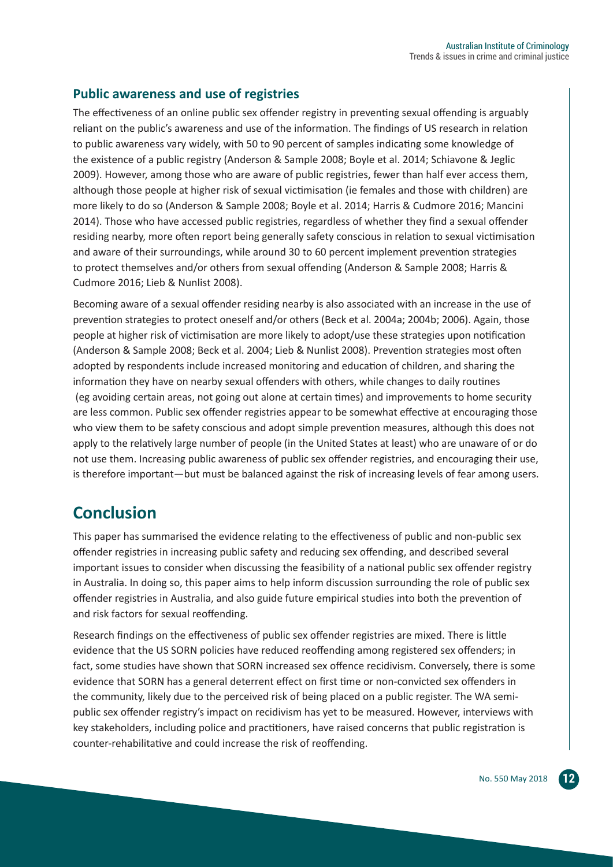#### **Public awareness and use of registries**

The effectiveness of an online public sex offender registry in preventing sexual offending is arguably reliant on the public's awareness and use of the information. The findings of US research in relation to public awareness vary widely, with 50 to 90 percent of samples indicating some knowledge of the existence of a public registry (Anderson & Sample 2008; Boyle et al. 2014; Schiavone & Jeglic 2009). However, among those who are aware of public registries, fewer than half ever access them, although those people at higher risk of sexual victimisation (ie females and those with children) are more likely to do so (Anderson & Sample 2008; Boyle et al. 2014; Harris & Cudmore 2016; Mancini 2014). Those who have accessed public registries, regardless of whether they find a sexual offender residing nearby, more often report being generally safety conscious in relation to sexual victimisation and aware of their surroundings, while around 30 to 60 percent implement prevention strategies to protect themselves and/or others from sexual offending (Anderson & Sample 2008; Harris & Cudmore 2016; Lieb & Nunlist 2008).

Becoming aware of a sexual offender residing nearby is also associated with an increase in the use of prevention strategies to protect oneself and/or others (Beck et al. 2004a; 2004b; 2006). Again, those people at higher risk of victimisation are more likely to adopt/use these strategies upon notification (Anderson & Sample 2008; Beck et al. 2004; Lieb & Nunlist 2008). Prevention strategies most often adopted by respondents include increased monitoring and education of children, and sharing the information they have on nearby sexual offenders with others, while changes to daily routines (eg avoiding certain areas, not going out alone at certain times) and improvements to home security are less common. Public sex offender registries appear to be somewhat effective at encouraging those who view them to be safety conscious and adopt simple prevention measures, although this does not apply to the relatively large number of people (in the United States at least) who are unaware of or do not use them. Increasing public awareness of public sex offender registries, and encouraging their use, is therefore important—but must be balanced against the risk of increasing levels of fear among users.

### **Conclusion**

This paper has summarised the evidence relating to the effectiveness of public and non-public sex offender registries in increasing public safety and reducing sex offending, and described several important issues to consider when discussing the feasibility of a national public sex offender registry in Australia. In doing so, this paper aims to help inform discussion surrounding the role of public sex offender registries in Australia, and also guide future empirical studies into both the prevention of and risk factors for sexual reoffending.

Research findings on the effectiveness of public sex offender registries are mixed. There is little evidence that the US SORN policies have reduced reoffending among registered sex offenders; in fact, some studies have shown that SORN increased sex offence recidivism. Conversely, there is some evidence that SORN has a general deterrent effect on first time or non-convicted sex offenders in the community, likely due to the perceived risk of being placed on a public register. The WA semipublic sex offender registry's impact on recidivism has yet to be measured. However, interviews with key stakeholders, including police and practitioners, have raised concerns that public registration is counter-rehabilitative and could increase the risk of reoffending.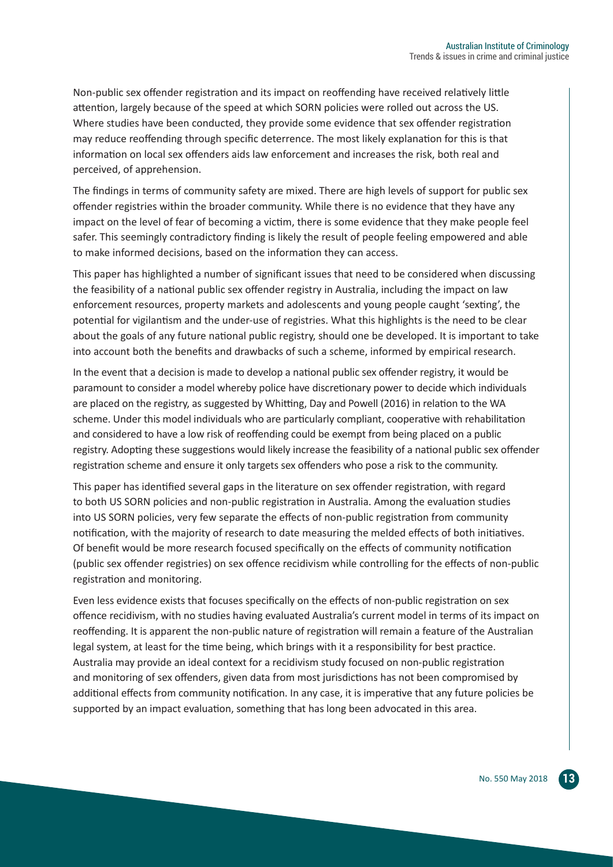Non-public sex offender registration and its impact on reoffending have received relatively little attention, largely because of the speed at which SORN policies were rolled out across the US. Where studies have been conducted, they provide some evidence that sex offender registration may reduce reoffending through specific deterrence. The most likely explanation for this is that information on local sex offenders aids law enforcement and increases the risk, both real and perceived, of apprehension.

The findings in terms of community safety are mixed. There are high levels of support for public sex offender registries within the broader community. While there is no evidence that they have any impact on the level of fear of becoming a victim, there is some evidence that they make people feel safer. This seemingly contradictory finding is likely the result of people feeling empowered and able to make informed decisions, based on the information they can access.

This paper has highlighted a number of significant issues that need to be considered when discussing the feasibility of a national public sex offender registry in Australia, including the impact on law enforcement resources, property markets and adolescents and young people caught 'sexting', the potential for vigilantism and the under-use of registries. What this highlights is the need to be clear about the goals of any future national public registry, should one be developed. It is important to take into account both the benefits and drawbacks of such a scheme, informed by empirical research.

In the event that a decision is made to develop a national public sex offender registry, it would be paramount to consider a model whereby police have discretionary power to decide which individuals are placed on the registry, as suggested by Whitting, Day and Powell (2016) in relation to the WA scheme. Under this model individuals who are particularly compliant, cooperative with rehabilitation and considered to have a low risk of reoffending could be exempt from being placed on a public registry. Adopting these suggestions would likely increase the feasibility of a national public sex offender registration scheme and ensure it only targets sex offenders who pose a risk to the community.

This paper has identified several gaps in the literature on sex offender registration, with regard to both US SORN policies and non-public registration in Australia. Among the evaluation studies into US SORN policies, very few separate the effects of non-public registration from community notification, with the majority of research to date measuring the melded effects of both initiatives. Of benefit would be more research focused specifically on the effects of community notification (public sex offender registries) on sex offence recidivism while controlling for the effects of non-public registration and monitoring.

Even less evidence exists that focuses specifically on the effects of non-public registration on sex offence recidivism, with no studies having evaluated Australia's current model in terms of its impact on reoffending. It is apparent the non-public nature of registration will remain a feature of the Australian legal system, at least for the time being, which brings with it a responsibility for best practice. Australia may provide an ideal context for a recidivism study focused on non-public registration and monitoring of sex offenders, given data from most jurisdictions has not been compromised by additional effects from community notification. In any case, it is imperative that any future policies be supported by an impact evaluation, something that has long been advocated in this area.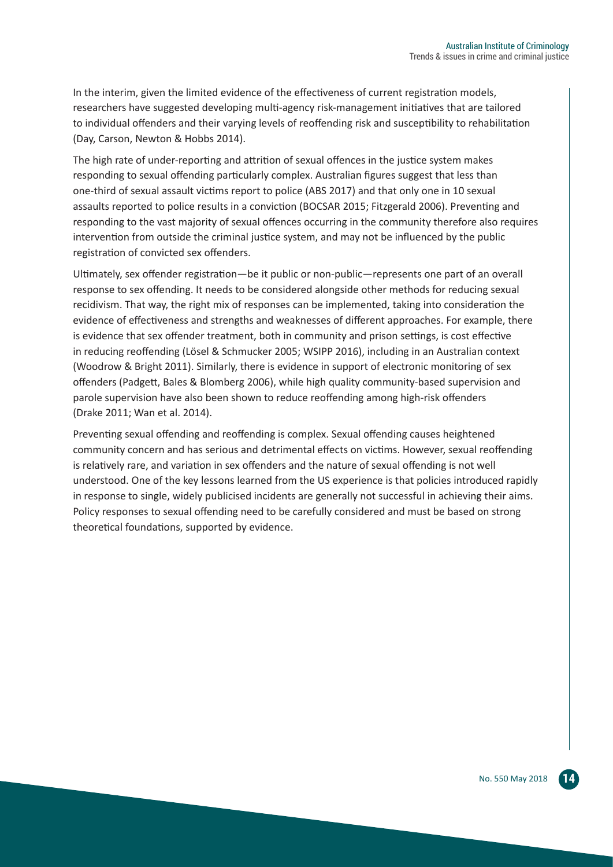In the interim, given the limited evidence of the effectiveness of current registration models, researchers have suggested developing multi-agency risk-management initiatives that are tailored to individual offenders and their varying levels of reoffending risk and susceptibility to rehabilitation (Day, Carson, Newton & Hobbs 2014).

The high rate of under-reporting and attrition of sexual offences in the justice system makes responding to sexual offending particularly complex. Australian figures suggest that less than one-third of sexual assault victims report to police (ABS 2017) and that only one in 10 sexual assaults reported to police results in a conviction (BOCSAR 2015; Fitzgerald 2006). Preventing and responding to the vast majority of sexual offences occurring in the community therefore also requires intervention from outside the criminal justice system, and may not be influenced by the public registration of convicted sex offenders.

Ultimately, sex offender registration—be it public or non-public—represents one part of an overall response to sex offending. It needs to be considered alongside other methods for reducing sexual recidivism. That way, the right mix of responses can be implemented, taking into consideration the evidence of effectiveness and strengths and weaknesses of different approaches. For example, there is evidence that sex offender treatment, both in community and prison settings, is cost effective in reducing reoffending (Lösel & Schmucker 2005; WSIPP 2016), including in an Australian context (Woodrow & Bright 2011). Similarly, there is evidence in support of electronic monitoring of sex offenders (Padgett, Bales & Blomberg 2006), while high quality community-based supervision and parole supervision have also been shown to reduce reoffending among high-risk offenders (Drake 2011; Wan et al. 2014).

Preventing sexual offending and reoffending is complex. Sexual offending causes heightened community concern and has serious and detrimental effects on victims. However, sexual reoffending is relatively rare, and variation in sex offenders and the nature of sexual offending is not well understood. One of the key lessons learned from the US experience is that policies introduced rapidly in response to single, widely publicised incidents are generally not successful in achieving their aims. Policy responses to sexual offending need to be carefully considered and must be based on strong theoretical foundations, supported by evidence.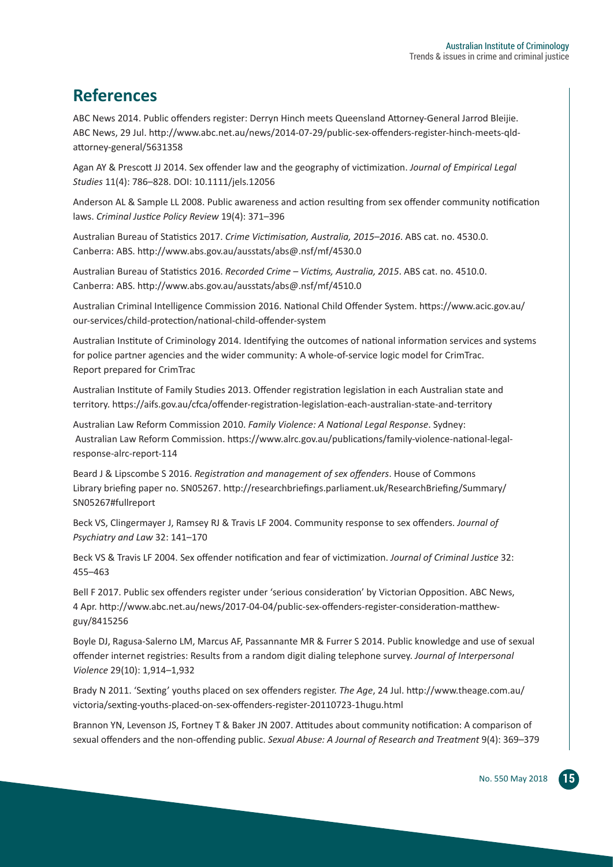## **References**

ABC News 2014. Public offenders register: Derryn Hinch meets Queensland Attorney-General Jarrod Bleijie. ABC News, 29 Jul. http://www.abc.net.au/news/2014-07-29/public-sex-offenders-register-hinch-meets-qldattorney-general/5631358

Agan AY & Prescott JJ 2014. Sex offender law and the geography of victimization. *Journal of Empirical Legal Studies* 11(4): 786–828. DOI: 10.1111/jels.12056

Anderson AL & Sample LL 2008. Public awareness and action resulting from sex offender community notification laws. *Criminal Justice Policy Review* 19(4): 371–396

Australian Bureau of Statistics 2017. *Crime Victimisation, Australia, 2015–2016*. ABS cat. no. 4530.0. Canberra: ABS. http://www.abs.gov.au/ausstats/abs@.nsf/mf/4530.0

Australian Bureau of Statistics 2016. *Recorded Crime – Victims, Australia, 2015*. ABS cat. no. 4510.0. Canberra: ABS. http://www.abs.gov.au/ausstats/abs@.nsf/mf/4510.0

Australian Criminal Intelligence Commission 2016. National Child Offender System. https://www.acic.gov.au/ our-services/child-protection/national-child-offender-system

Australian Institute of Criminology 2014. Identifying the outcomes of national information services and systems for police partner agencies and the wider community: A whole-of-service logic model for CrimTrac. Report prepared for CrimTrac

Australian Institute of Family Studies 2013. Offender registration legislation in each Australian state and territory. https://aifs.gov.au/cfca/offender-registration-legislation-each-australian-state-and-territory

Australian Law Reform Commission 2010. *Family Violence: A National Legal Response*. Sydney: Australian Law Reform Commission. https://www.alrc.gov.au/publications/family-violence-national-legalresponse-alrc-report-114

Beard J & Lipscombe S 2016. *Registration and management of sex offenders*. House of Commons Library briefing paper no. SN05267. http://researchbriefings.parliament.uk/ResearchBriefing/Summary/ SN05267#fullreport

Beck VS, Clingermayer J, Ramsey RJ & Travis LF 2004. Community response to sex offenders. *Journal of Psychiatry and Law* 32: 141–170

Beck VS & Travis LF 2004. Sex offender notification and fear of victimization. *Journal of Criminal Justice* 32: 455–463

Bell F 2017. Public sex offenders register under 'serious consideration' by Victorian Opposition. ABC News, 4 Apr. http://www.abc.net.au/news/2017-04-04/public-sex-offenders-register-consideration-matthewguy/8415256

Boyle DJ, Ragusa-Salerno LM, Marcus AF, Passannante MR & Furrer S 2014. Public knowledge and use of sexual offender internet registries: Results from a random digit dialing telephone survey. *Journal of Interpersonal Violence* 29(10): 1,914–1,932

Brady N 2011. 'Sexting' youths placed on sex offenders register. *The Age*, 24 Jul. http://www.theage.com.au/ victoria/sexting-youths-placed-on-sex-offenders-register-20110723-1hugu.html

Brannon YN, Levenson JS, Fortney T & Baker JN 2007. Attitudes about community notification: A comparison of sexual offenders and the non-offending public. *Sexual Abuse: A Journal of Research and Treatment* 9(4): 369–379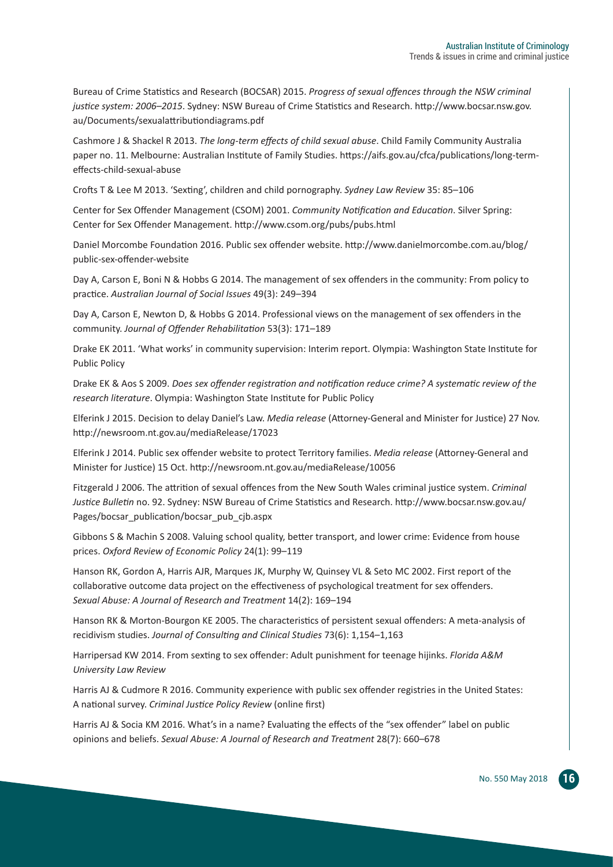Bureau of Crime Statistics and Research (BOCSAR) 2015. *Progress of sexual offences through the NSW criminal justice system: 2006–2015*. Sydney: NSW Bureau of Crime Statistics and Research. http://www.bocsar.nsw.gov. au/Documents/sexualattributiondiagrams.pdf

Cashmore J & Shackel R 2013. *The long-term effects of child sexual abuse*. Child Family Community Australia paper no. 11. Melbourne: Australian Institute of Family Studies. https://aifs.gov.au/cfca/publications/long-termeffects-child-sexual-abuse

Crofts T & Lee M 2013. 'Sexting', children and child pornography. *Sydney Law Review* 35: 85–106

Center for Sex Offender Management (CSOM) 2001. *Community Notification and Education*. Silver Spring: Center for Sex Offender Management. http://www.csom.org/pubs/pubs.html

Daniel Morcombe Foundation 2016. Public sex offender website. http://www.danielmorcombe.com.au/blog/ public-sex-offender-website

Day A, Carson E, Boni N & Hobbs G 2014. The management of sex offenders in the community: From policy to practice. *Australian Journal of Social Issues* 49(3): 249–394

Day A, Carson E, Newton D, & Hobbs G 2014. Professional views on the management of sex offenders in the community. *Journal of Offender Rehabilitation* 53(3): 171–189

Drake EK 2011. 'What works' in community supervision: Interim report. Olympia: Washington State Institute for Public Policy

Drake EK & Aos S 2009. *Does sex offender registration and notification reduce crime? A systematic review of the research literature*. Olympia: Washington State Institute for Public Policy

Elferink J 2015. Decision to delay Daniel's Law. *Media release* (Attorney-General and Minister for Justice) 27 Nov. http://newsroom.nt.gov.au/mediaRelease/17023

Elferink J 2014. Public sex offender website to protect Territory families. *Media release* (Attorney-General and Minister for Justice) 15 Oct. http://newsroom.nt.gov.au/mediaRelease/10056

Fitzgerald J 2006. The attrition of sexual offences from the New South Wales criminal justice system. *Criminal Justice Bulletin* no. 92. Sydney: NSW Bureau of Crime Statistics and Research. http://www.bocsar.nsw.gov.au/ Pages/bocsar\_publication/bocsar\_pub\_cjb.aspx

Gibbons S & Machin S 2008. Valuing school quality, better transport, and lower crime: Evidence from house prices. *Oxford Review of Economic Policy* 24(1): 99–119

Hanson RK, Gordon A, Harris AJR, Marques JK, Murphy W, Quinsey VL & Seto MC 2002. First report of the collaborative outcome data project on the effectiveness of psychological treatment for sex offenders. *Sexual Abuse: A Journal of Research and Treatment* 14(2): 169–194

Hanson RK & Morton-Bourgon KE 2005. The characteristics of persistent sexual offenders: A meta-analysis of recidivism studies. *Journal of Consulting and Clinical Studies* 73(6): 1,154–1,163

Harripersad KW 2014. From sexting to sex offender: Adult punishment for teenage hijinks. *Florida A&M University Law Review*

Harris AJ & Cudmore R 2016. Community experience with public sex offender registries in the United States: A national survey. *Criminal Justice Policy Review* (online first)

Harris AJ & Socia KM 2016. What's in a name? Evaluating the effects of the "sex offender" label on public opinions and beliefs. *Sexual Abuse: A Journal of Research and Treatment* 28(7): 660–678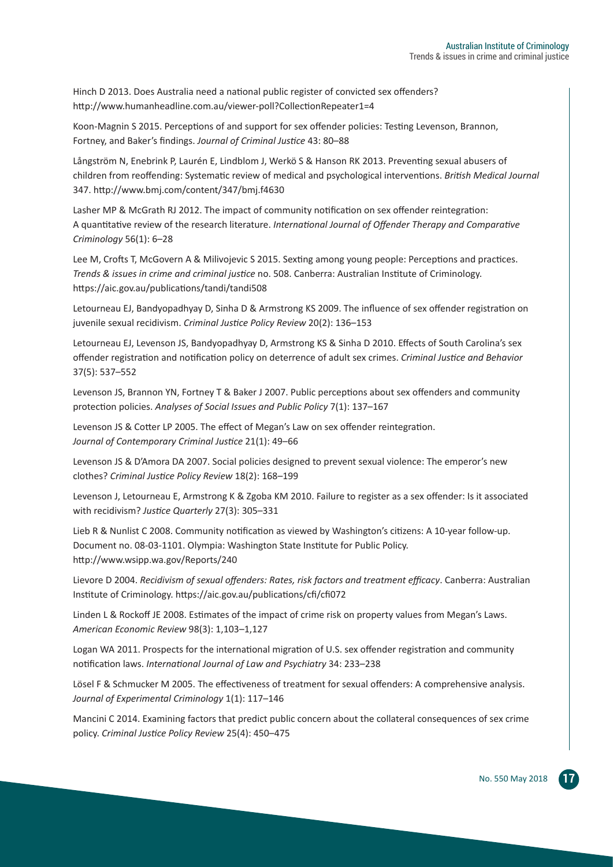Hinch D 2013. Does Australia need a national public register of convicted sex offenders? http://www.humanheadline.com.au/viewer-poll?CollectionRepeater1=4

Koon-Magnin S 2015. Perceptions of and support for sex offender policies: Testing Levenson, Brannon, Fortney, and Baker's findings. *Journal of Criminal Justice* 43: 80–88

Långström N, Enebrink P, Laurén E, Lindblom J, Werkö S & Hanson RK 2013. Preventing sexual abusers of children from reoffending: Systematic review of medical and psychological interventions. *British Medical Journal*  347. http://www.bmj.com/content/347/bmj.f4630

Lasher MP & McGrath RJ 2012. The impact of community notification on sex offender reintegration: A quantitative review of the research literature. *International Journal of Offender Therapy and Comparative Criminology* 56(1): 6–28

Lee M, Crofts T, McGovern A & Milivojevic S 2015. Sexting among young people: Perceptions and practices. *Trends & issues in crime and criminal justice* no. 508. Canberra: Australian Institute of Criminology. https://aic.gov.au/publications/tandi/tandi508

Letourneau EJ, Bandyopadhyay D, Sinha D & Armstrong KS 2009. The influence of sex offender registration on juvenile sexual recidivism. *Criminal Justice Policy Review* 20(2): 136–153

Letourneau EJ, Levenson JS, Bandyopadhyay D, Armstrong KS & Sinha D 2010. Effects of South Carolina's sex offender registration and notification policy on deterrence of adult sex crimes. *Criminal Justice and Behavior*  37(5): 537–552

Levenson JS, Brannon YN, Fortney T & Baker J 2007. Public perceptions about sex offenders and community protection policies. *Analyses of Social Issues and Public Policy* 7(1): 137–167

Levenson JS & Cotter LP 2005. The effect of Megan's Law on sex offender reintegration. *Journal of Contemporary Criminal Justice* 21(1): 49–66

Levenson JS & D'Amora DA 2007. Social policies designed to prevent sexual violence: The emperor's new clothes? *Criminal Justice Policy Review* 18(2): 168–199

Levenson J, Letourneau E, Armstrong K & Zgoba KM 2010. Failure to register as a sex offender: Is it associated with recidivism? *Justice Quarterly* 27(3): 305–331

Lieb R & Nunlist C 2008. Community notification as viewed by Washington's citizens: A 10-year follow-up. Document no. 08-03-1101. Olympia: Washington State Institute for Public Policy. http://www.wsipp.wa.gov/Reports/240

Lievore D 2004. *Recidivism of sexual offenders: Rates, risk factors and treatment efficacy*. Canberra: Australian Institute of Criminology. https://aic.gov.au/publications/cfi/cfi072

Linden L & Rockoff JE 2008. Estimates of the impact of crime risk on property values from Megan's Laws. *American Economic Review* 98(3): 1,103–1,127

Logan WA 2011. Prospects for the international migration of U.S. sex offender registration and community notification laws. *International Journal of Law and Psychiatry* 34: 233–238

Lösel F & Schmucker M 2005. The effectiveness of treatment for sexual offenders: A comprehensive analysis. *Journal of Experimental Criminology* 1(1): 117–146

Mancini C 2014. Examining factors that predict public concern about the collateral consequences of sex crime policy. *Criminal Justice Policy Review* 25(4): 450–475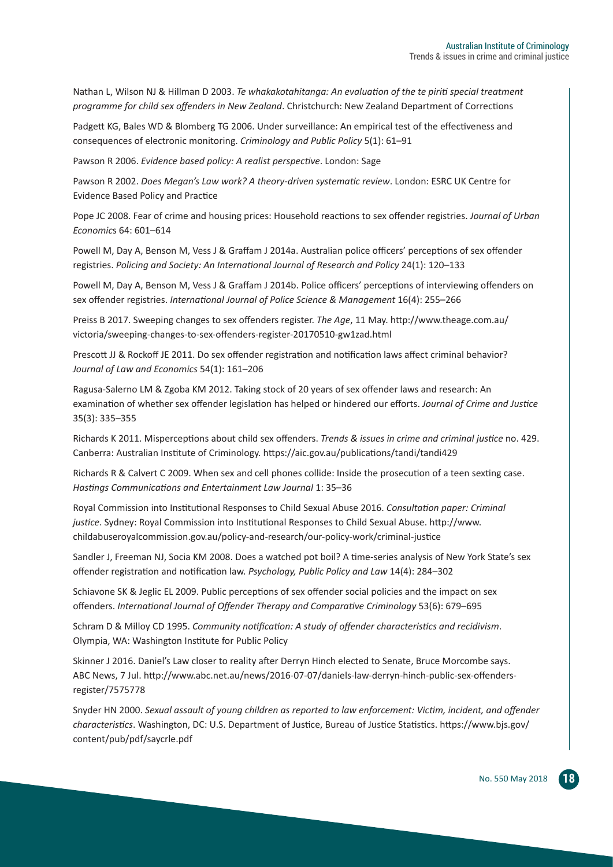Nathan L, Wilson NJ & Hillman D 2003. *Te whakakotahitanga: An evaluation of the te piriti special treatment programme for child sex offenders in New Zealand*. Christchurch: New Zealand Department of Corrections

Padgett KG, Bales WD & Blomberg TG 2006. Under surveillance: An empirical test of the effectiveness and consequences of electronic monitoring. *Criminology and Public Policy* 5(1): 61–91

Pawson R 2006. *Evidence based policy: A realist perspective*. London: Sage

Pawson R 2002. *Does Megan's Law work? A theory-driven systematic review*. London: ESRC UK Centre for Evidence Based Policy and Practice

Pope JC 2008. Fear of crime and housing prices: Household reactions to sex offender registries. *Journal of Urban Economic*s 64: 601–614

Powell M, Day A, Benson M, Vess J & Graffam J 2014a. Australian police officers' perceptions of sex offender registries. *Policing and Society: An International Journal of Research and Policy* 24(1): 120–133

Powell M, Day A, Benson M, Vess J & Graffam J 2014b. Police officers' perceptions of interviewing offenders on sex offender registries. *International Journal of Police Science & Management* 16(4): 255–266

Preiss B 2017. Sweeping changes to sex offenders register. *The Age*, 11 May. http://www.theage.com.au/ victoria/sweeping-changes-to-sex-offenders-register-20170510-gw1zad.html

Prescott JJ & Rockoff JE 2011. Do sex offender registration and notification laws affect criminal behavior? *Journal of Law and Economics* 54(1): 161–206

Ragusa-Salerno LM & Zgoba KM 2012. Taking stock of 20 years of sex offender laws and research: An examination of whether sex offender legislation has helped or hindered our efforts. *Journal of Crime and Justice* 35(3): 335–355

Richards K 2011. Misperceptions about child sex offenders. *Trends & issues in crime and criminal justice* no. 429. Canberra: Australian Institute of Criminology. https://aic.gov.au/publications/tandi/tandi429

Richards R & Calvert C 2009. When sex and cell phones collide: Inside the prosecution of a teen sexting case. *Hastings Communications and Entertainment Law Journal* 1: 35–36

Royal Commission into Institutional Responses to Child Sexual Abuse 2016. *Consultation paper: Criminal justice*. Sydney: Royal Commission into Institutional Responses to Child Sexual Abuse. http://www. childabuseroyalcommission.gov.au/policy-and-research/our-policy-work/criminal-justice

Sandler J, Freeman NJ, Socia KM 2008. Does a watched pot boil? A time-series analysis of New York State's sex offender registration and notification law. *Psychology, Public Policy and Law* 14(4): 284–302

Schiavone SK & Jeglic EL 2009. Public perceptions of sex offender social policies and the impact on sex offenders. *International Journal of Offender Therapy and Comparative Criminology* 53(6): 679–695

Schram D & Milloy CD 1995. *Community notification: A study of offender characteristics and recidivism*. Olympia, WA: Washington Institute for Public Policy

Skinner J 2016. Daniel's Law closer to reality after Derryn Hinch elected to Senate, Bruce Morcombe says. ABC News, 7 Jul. http://www.abc.net.au/news/2016-07-07/daniels-law-derryn-hinch-public-sex-offendersregister/7575778

Snyder HN 2000. *Sexual assault of young children as reported to law enforcement: Victim, incident, and offender characteristics*. Washington, DC: U.S. Department of Justice, Bureau of Justice Statistics. https://www.bjs.gov/ content/pub/pdf/saycrle.pdf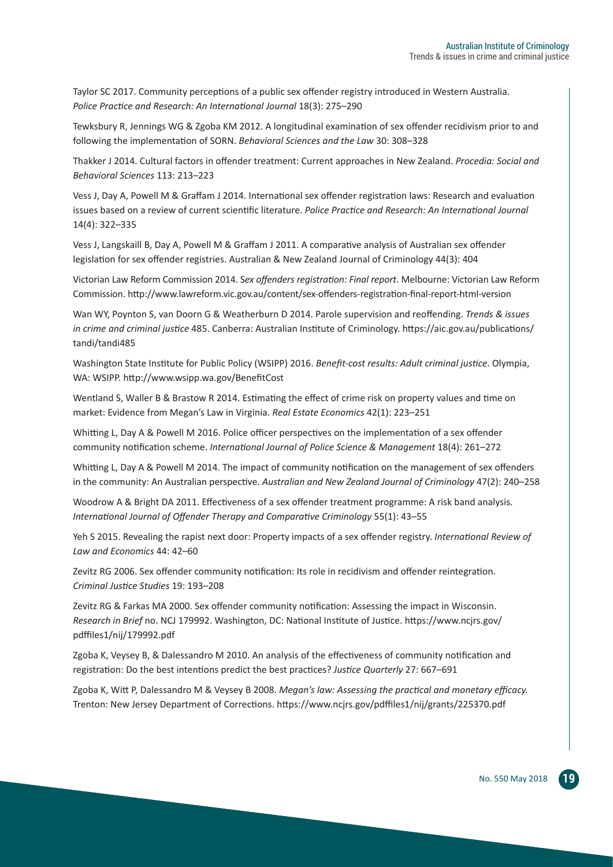Taylor SC 2017. Community perceptions of a public sex offender registry introduced in Western Australia. Police Practice and Research: An International Journal 18(3): 275-290

Tewksbury R, Jennings WG & Zgoba KM 2012. A longitudinal examination of sex offender recidivism prior to and following the implementation of SORN. *Behavioral Sciences and the Law* 30: 308–328

Thakker J 2014. Cultural factors in offender treatment: Current approaches in New Zealand. *Procedia: Social and Behavioral Sciences* 113: 213–223

Vess J, Day A, Powell M & Graffam J 2014. International sex offender registration laws: Research and evaluation issues based on a review of current scientific literature. *Police Practice and Research: An International Journal*  14(4): 322–335

Vess J, Langskaill B, Day A, Powell M & Graffam J 2011. A comparative analysis of Australian sex offender legislation for sex offender registries. Australian & New Zealand Journal of Criminology 44(3): 404

Victorian Law Reform Commission 2014. S*ex offenders registration: Final report*. Melbourne: Victorian Law Reform Commission. http://www.lawreform.vic.gov.au/content/sex-offenders-registration-final-report-html-version

Wan WY, Poynton S, van Doorn G & Weatherburn D 2014. Parole supervision and reoffending. *Trends & issues in crime and criminal justice* 485. Canberra: Australian Institute of Criminology. https://aic.gov.au/publications/ tandi/tandi485

Washington State Institute for Public Policy (WSIPP) 2016. *Benefit-cost results: Adult criminal justice*. Olympia, WA: WSIPP. http://www.wsipp.wa.gov/BenefitCost

Wentland S, Waller B & Brastow R 2014. Estimating the effect of crime risk on property values and time on market: Evidence from Megan's Law in Virginia. *Real Estate Economics* 42(1): 223–251

Whitting L, Day A & Powell M 2016. Police officer perspectives on the implementation of a sex offender community notification scheme. *International Journal of Police Science & Management* 18(4): 261–272

Whitting L, Day A & Powell M 2014. The impact of community notification on the management of sex offenders in the community: An Australian perspective. *Australian and New Zealand Journal of Criminology* 47(2): 240–258

Woodrow A & Bright DA 2011. Effectiveness of a sex offender treatment programme: A risk band analysis. *International Journal of Offender Therapy and Comparative Criminology* 55(1): 43–55

Yeh S 2015. Revealing the rapist next door: Property impacts of a sex offender registry. *International Review of Law and Economics* 44: 42–60

Zevitz RG 2006. Sex offender community notification: Its role in recidivism and offender reintegration. *Criminal Justice Studies* 19: 193–208

Zevitz RG & Farkas MA 2000. Sex offender community notification: Assessing the impact in Wisconsin. *Research in Brief* no. NCJ 179992. Washington, DC: National Institute of Justice. https://www.ncjrs.gov/ pdffiles1/nij/179992.pdf

Zgoba K, Veysey B, & Dalessandro M 2010. An analysis of the effectiveness of community notification and registration: Do the best intentions predict the best practices? *Justice Quarterly* 27: 667–691

Zgoba K, Witt P, Dalessandro M & Veysey B 2008. *Megan's law: Assessing the practical and monetary efficacy.*  Trenton: New Jersey Department of Corrections. https://www.ncjrs.gov/pdffiles1/nij/grants/225370.pdf